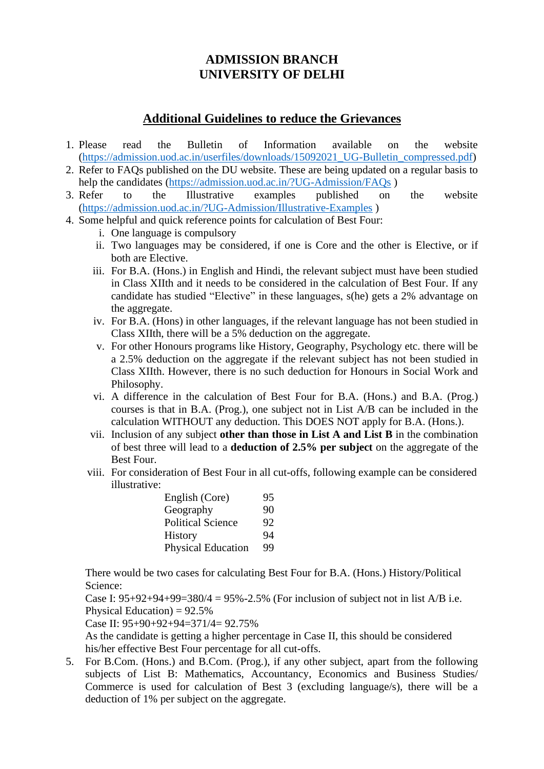## **ADMISSION BRANCH UNIVERSITY OF DELHI**

## **Additional Guidelines to reduce the Grievances**

- 1. Please read the Bulletin of Information available on the website [\(https://admission.uod.ac.in/userfiles/downloads/15092021\\_UG-Bulletin\\_compressed.pdf\)](https://admission.uod.ac.in/userfiles/downloads/15092021_UG-Bulletin_compressed.pdf)
- 2. Refer to FAQs published on the DU website. These are being updated on a regular basis to help the candidates [\(https://admission.uod.ac.in/?UG-Admission/FAQs](https://admission.uod.ac.in/?UG-Admission/FAQs))
- 3. Refer to the Illustrative examples published on the website [\(https://admission.uod.ac.in/?UG-Admission/Illustrative-Examples](https://admission.uod.ac.in/?UG-Admission/Illustrative-Examples) )
- 4. Some helpful and quick reference points for calculation of Best Four:
	- i. One language is compulsory
	- ii. Two languages may be considered, if one is Core and the other is Elective, or if both are Elective.
	- iii. For B.A. (Hons.) in English and Hindi, the relevant subject must have been studied in Class XIIth and it needs to be considered in the calculation of Best Four. If any candidate has studied "Elective" in these languages, s(he) gets a 2% advantage on the aggregate.
	- iv. For B.A. (Hons) in other languages, if the relevant language has not been studied in Class XIIth, there will be a 5% deduction on the aggregate.
	- v. For other Honours programs like History, Geography, Psychology etc. there will be a 2.5% deduction on the aggregate if the relevant subject has not been studied in Class XIIth. However, there is no such deduction for Honours in Social Work and Philosophy.
	- vi. A difference in the calculation of Best Four for B.A. (Hons.) and B.A. (Prog.) courses is that in B.A. (Prog.), one subject not in List A/B can be included in the calculation WITHOUT any deduction. This DOES NOT apply for B.A. (Hons.).
	- vii. Inclusion of any subject **other than those in List A and List B** in the combination of best three will lead to a **deduction of 2.5% per subject** on the aggregate of the Best Four.
	- viii. For consideration of Best Four in all cut-offs, following example can be considered illustrative:

| English (Core)            | 95 |
|---------------------------|----|
| Geography                 | 90 |
| <b>Political Science</b>  | 92 |
| History                   | 94 |
| <b>Physical Education</b> | 99 |

There would be two cases for calculating Best Four for B.A. (Hons.) History/Political Science:

Case I:  $95+92+94+99=380/4 = 95\% - 2.5\%$  (For inclusion of subject not in list A/B i.e. Physical Education) =  $92.5\%$ 

Case II: 95+90+92+94=371/4= 92.75%

As the candidate is getting a higher percentage in Case II, this should be considered his/her effective Best Four percentage for all cut-offs.

5. For B.Com. (Hons.) and B.Com. (Prog.), if any other subject, apart from the following subjects of List B: Mathematics, Accountancy, Economics and Business Studies/ Commerce is used for calculation of Best 3 (excluding language/s), there will be a deduction of 1% per subject on the aggregate.